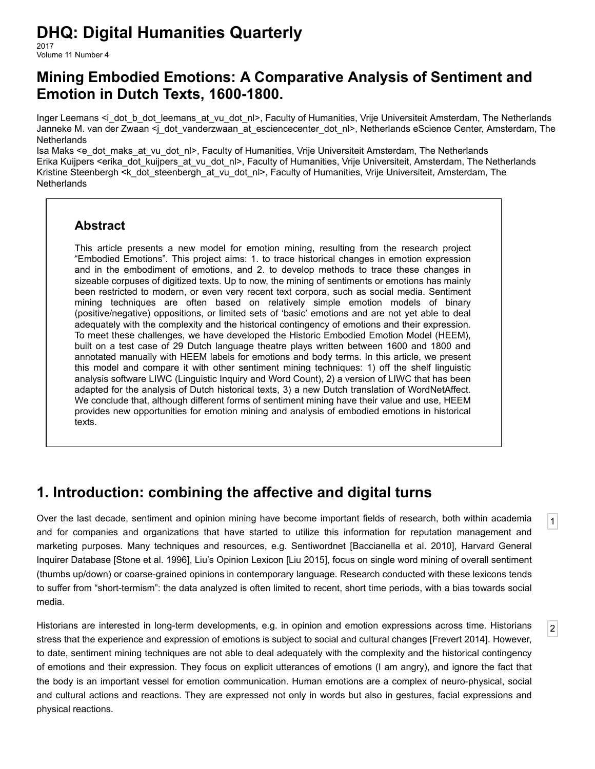# **DHQ: Digital Humanities Quarterly**

2017 Volume 11 Number 4

## **Mining Embodied Emotions: A Comparative Analysis of Sentiment and Emotion in Dutch Texts, 1600-1800.**

[Inger Leemans](http://www.digitalhumanities.org/dhq/vol/11/4/bios.html#leemans_inger) [<i\\_dot\\_b\\_dot\\_leemans\\_at\\_vu\\_dot\\_nl](mailto:i_dot_b_dot_leemans_at_vu_dot_nl)>, Faculty of Humanities, Vrije Universiteit Amsterdam, The Netherlands [Janneke M. van der Zwaan](http://www.digitalhumanities.org/dhq/vol/11/4/bios.html#vanderzwaan_janneke_m.) < dot vanderzwaan at esciencecenter dot nl>, Netherlands eScience Center, Amsterdam, The Netherlands

[Isa Maks](http://www.digitalhumanities.org/dhq/vol/11/4/bios.html#maks_isa) [<e\\_dot\\_maks\\_at\\_vu\\_dot\\_nl](mailto:e_dot_maks_at_vu_dot_nl)>, Faculty of Humanities, Vrije Universiteit Amsterdam, The Netherlands [Erika Kuijpers](http://www.digitalhumanities.org/dhq/vol/11/4/bios.html#kuijpers_erika) <erika dot kuijpers at vu dot nl>, Faculty of Humanities, Vrije Universiteit, Amsterdam, The Netherlands [Kristine Steenbergh](http://www.digitalhumanities.org/dhq/vol/11/4/bios.html#steenbergh_kristine) <k dot steenbergh at vu dot nl>, Faculty of Humanities, Vrije Universiteit, Amsterdam, The **Netherlands** 

## **Abstract**

This article presents a new model for emotion mining, resulting from the research project "Embodied Emotions". This project aims: 1. to trace historical changes in emotion expression and in the embodiment of emotions, and 2. to develop methods to trace these changes in sizeable corpuses of digitized texts. Up to now, the mining of sentiments or emotions has mainly been restricted to modern, or even very recent text corpora, such as social media. Sentiment mining techniques are often based on relatively simple emotion models of binary (positive/negative) oppositions, or limited sets of 'basic' emotions and are not yet able to deal adequately with the complexity and the historical contingency of emotions and their expression. To meet these challenges, we have developed the Historic Embodied Emotion Model (HEEM), built on a test case of 29 Dutch language theatre plays written between 1600 and 1800 and annotated manually with HEEM labels for emotions and body terms. In this article, we present this model and compare it with other sentiment mining techniques: 1) off the shelf linguistic analysis software LIWC (Linguistic Inquiry and Word Count), 2) a version of LIWC that has been adapted for the analysis of Dutch historical texts, 3) a new Dutch translation of WordNetAffect. We conclude that, although different forms of sentiment mining have their value and use, HEEM provides new opportunities for emotion mining and analysis of embodied emotions in historical texts.

# **1. Introduction: combining the affective and digital turns**

<span id="page-0-0"></span>Over the last decade, sentiment and opinion mining have become important fields of research, both within academia and for companies and organizations that have started to utilize this information for reputation management and marketing purposes. Many techniques and resources, e.g. Sentiwordnet [\[Baccianella et al. 2010\]](#page-16-0), Harvard General Inquirer Database [[Stone et al. 1996](#page-17-0)], Liu's Opinion Lexicon [\[Liu 2015](#page-16-1)], focus on single word mining of overall sentiment (thumbs up/down) or coarse-grained opinions in contemporary language. Research conducted with these lexicons tends to suffer from "short-termism": the data analyzed is often limited to recent, short time periods, with a bias towards social media.

[1](#page-0-0)

[2](#page-0-1)

<span id="page-0-1"></span>Historians are interested in long-term developments, e.g. in opinion and emotion expressions across time. Historians stress that the experience and expression of emotions is subject to social and cultural changes [[Frevert 2014](#page-16-2)]. However, to date, sentiment mining techniques are not able to deal adequately with the complexity and the historical contingency of emotions and their expression. They focus on explicit utterances of emotions (I am angry), and ignore the fact that the body is an important vessel for emotion communication. Human emotions are a complex of neuro-physical, social and cultural actions and reactions. They are expressed not only in words but also in gestures, facial expressions and physical reactions.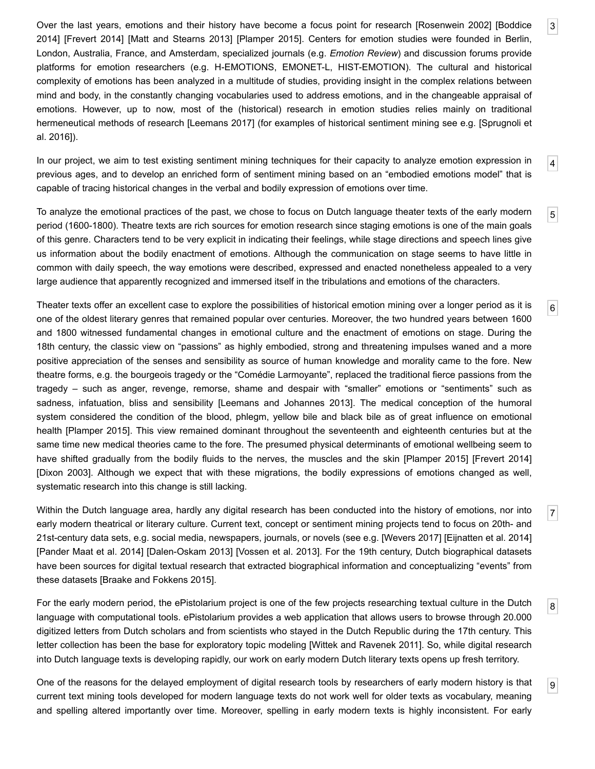<span id="page-1-0"></span>[Over the last years, emotions and their history have become a focus point for research \[R](#page-16-3)[osenwein 200](#page-17-1)[2\] \[Boddice](#page-16-3) 2014] [[Frevert 2014\]](#page-16-2) [[Matt and Stearns 2013\]](#page-16-4) [\[Plamper 2015\]](#page-17-2). Centers for emotion studies were founded in Berlin, London, Australia, France, and Amsterdam, specialized journals (e.g. *Emotion Review*) and discussion forums provide platforms for emotion researchers (e.g. H-EMOTIONS, EMONET-L, HIST-EMOTION). The cultural and historical complexity of emotions has been analyzed in a multitude of studies, providing insight in the complex relations between mind and body, in the constantly changing vocabularies used to address emotions, and in the changeable appraisal of emotions. However, up to now, most of the (historical) research in emotion studies relies mainly on traditional [hermeneutical methods of research \[](#page-17-3)[Leemans 201](#page-16-5)[7\] \(for examples of historical sentiment mining see e.g. \[Sprugnoli et](#page-17-3) al. 2016]).

[3](#page-1-0)

[4](#page-1-1)

[5](#page-1-2)

[6](#page-1-3)

[7](#page-1-4)

[8](#page-1-5)

[9](#page-1-6)

<span id="page-1-1"></span>In our project, we aim to test existing sentiment mining techniques for their capacity to analyze emotion expression in previous ages, and to develop an enriched form of sentiment mining based on an "embodied emotions model" that is capable of tracing historical changes in the verbal and bodily expression of emotions over time.

<span id="page-1-2"></span>To analyze the emotional practices of the past, we chose to focus on Dutch language theater texts of the early modern period (1600-1800). Theatre texts are rich sources for emotion research since staging emotions is one of the main goals of this genre. Characters tend to be very explicit in indicating their feelings, while stage directions and speech lines give us information about the bodily enactment of emotions. Although the communication on stage seems to have little in common with daily speech, the way emotions were described, expressed and enacted nonetheless appealed to a very large audience that apparently recognized and immersed itself in the tribulations and emotions of the characters.

<span id="page-1-3"></span>Theater texts offer an excellent case to explore the possibilities of historical emotion mining over a longer period as it is one of the oldest literary genres that remained popular over centuries. Moreover, the two hundred years between 1600 and 1800 witnessed fundamental changes in emotional culture and the enactment of emotions on stage. During the 18th century, the classic view on "passions" as highly embodied, strong and threatening impulses waned and a more positive appreciation of the senses and sensibility as source of human knowledge and morality came to the fore. New theatre forms, e.g. the bourgeois tragedy or the "Comédie Larmoyante", replaced the traditional fierce passions from the tragedy – such as anger, revenge, remorse, shame and despair with "smaller" emotions or "sentiments" such as sadness, infatuation, bliss and sensibility [\[Leemans and Johannes 2013](#page-16-6)]. The medical conception of the humoral system considered the condition of the blood, phlegm, yellow bile and black bile as of great influence on emotional health [\[Plamper 2015](#page-17-2)]. This view remained dominant throughout the seventeenth and eighteenth centuries but at the same time new medical theories came to the fore. The presumed physical determinants of emotional wellbeing seem to have shifted gradually from the bodily fluids to the nerves, the muscles and the skin [\[Plamper 2015](#page-17-2)] [[Frevert 2014\]](#page-16-2) [\[Dixon 2003\]](#page-16-7). Although we expect that with these migrations, the bodily expressions of emotions changed as well, systematic research into this change is still lacking.

<span id="page-1-4"></span>Within the Dutch language area, hardly any digital research has been conducted into the history of emotions, nor into early modern theatrical or literary culture. Current text, concept or sentiment mining projects tend to focus on 20th- and 21st-century data sets, e.g. social media, newspapers, journals, or novels (see e.g. [\[Wevers 2017\]](#page-17-4) [[Eijnatten et al. 2014\]](#page-16-8) [\[Pander Maat et al. 2014](#page-16-9)] [[Dalen-Oskam 2013](#page-16-10)] [[Vossen et al. 2013](#page-17-5)]. For the 19th century, Dutch biographical datasets have been sources for digital textual research that extracted biographical information and conceptualizing "events" from these datasets [[Braake and Fokkens 2015\]](#page-16-11).

<span id="page-1-5"></span>For the early modern period, the ePistolarium project is one of the few projects researching textual culture in the Dutch language with computational tools. ePistolarium provides a web application that allows users to browse through 20.000 digitized letters from Dutch scholars and from scientists who stayed in the Dutch Republic during the 17th century. This letter collection has been the base for exploratory topic modeling [[Wittek and Ravenek 2011](#page-17-6)]. So, while digital research into Dutch language texts is developing rapidly, our work on early modern Dutch literary texts opens up fresh territory.

<span id="page-1-6"></span>One of the reasons for the delayed employment of digital research tools by researchers of early modern history is that current text mining tools developed for modern language texts do not work well for older texts as vocabulary, meaning and spelling altered importantly over time. Moreover, spelling in early modern texts is highly inconsistent. For early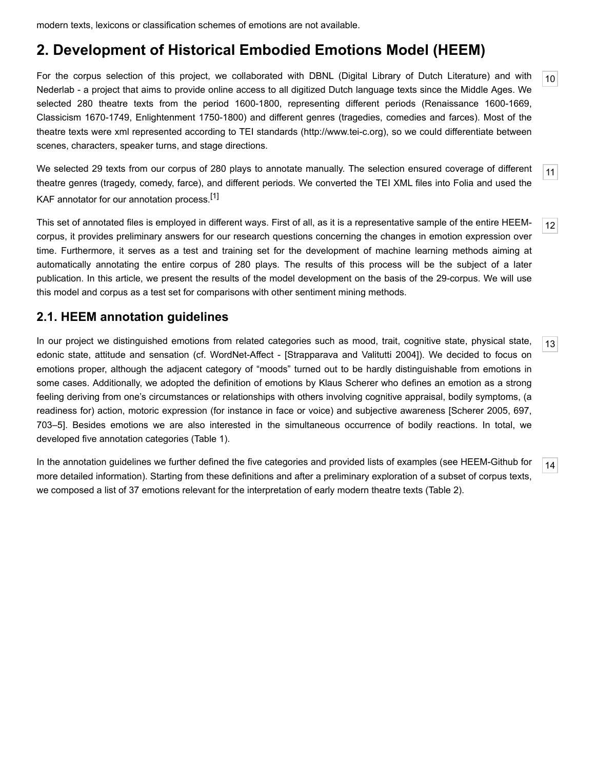modern texts, lexicons or classification schemes of emotions are not available.

## **2. Development of Historical Embodied Emotions Model (HEEM)**

<span id="page-2-2"></span>[10](#page-2-2) For the corpus selection of this project, we collaborated with DBNL (Digital Library of Dutch Literature) and with Nederlab - a project that aims to provide online access to all digitized Dutch language texts since the Middle Ages. We selected 280 theatre texts from the period 1600-1800, representing different periods (Renaissance 1600-1669, Classicism 1670-1749, Enlightenment 1750-1800) and different genres (tragedies, comedies and farces). Most of the theatre texts were xml represented according to TEI standards ([http://www.tei-c.org](http://www.tei-c.org/)), so we could differentiate between scenes, characters, speaker turns, and stage directions.

<span id="page-2-3"></span>[11](#page-2-3) We selected 29 texts from our corpus of 280 plays to annotate manually. The selection ensured coverage of different theatre genres (tragedy, comedy, farce), and different periods. We converted the TEI XML files into Folia and used the KAF annotator for our annotation process.<sup>[1]</sup>

[12](#page-2-4)

<span id="page-2-4"></span>This set of annotated files is employed in different ways. First of all, as it is a representative sample of the entire HEEMcorpus, it provides preliminary answers for our research questions concerning the changes in emotion expression over time. Furthermore, it serves as a test and training set for the development of machine learning methods aiming at automatically annotating the entire corpus of 280 plays. The results of this process will be the subject of a later publication. In this article, we present the results of the model development on the basis of the 29-corpus. We will use this model and corpus as a test set for comparisons with other sentiment mining methods.

### **2.1. HEEM annotation guidelines**

<span id="page-2-0"></span>[13](#page-2-0) In our project we distinguished emotions from related categories such as mood, trait, cognitive state, physical state, edonic state, attitude and sensation (cf. WordNet-Affect - [[Strapparava and Valitutti 2004\]](#page-17-7)). We decided to focus on emotions proper, although the adjacent category of "moods" turned out to be hardly distinguishable from emotions in some cases. Additionally, we adopted the definition of emotions by Klaus Scherer who defines an emotion as a strong feeling deriving from one's circumstances or relationships with others involving cognitive appraisal, bodily symptoms, (a readiness for) action, motoric expression (for instance in face or voice) and subjective awareness [\[Scherer 2005,](#page-17-8) 697, 703–5]. Besides emotions we are also interested in the simultaneous occurrence of bodily reactions. In total, we developed five annotation categories (Table 1).

<span id="page-2-1"></span>[14](#page-2-1) In the annotation guidelines we further defined the five categories and provided lists of examples (see HEEM-Github for more detailed information). Starting from these definitions and after a preliminary exploration of a subset of corpus texts, we composed a list of 37 emotions relevant for the interpretation of early modern theatre texts (Table 2).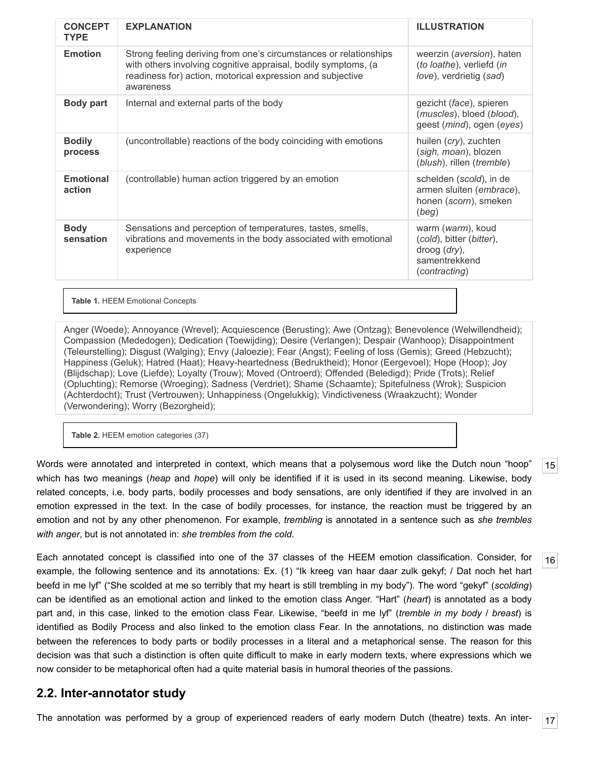| <b>CONCEPT</b><br><b>TYPE</b> | <b>EXPLANATION</b>                                                                                                                                                                                             | <b>ILLUSTRATION</b>                                                                               |
|-------------------------------|----------------------------------------------------------------------------------------------------------------------------------------------------------------------------------------------------------------|---------------------------------------------------------------------------------------------------|
| <b>Emotion</b>                | Strong feeling deriving from one's circumstances or relationships<br>with others involving cognitive appraisal, bodily symptoms, (a<br>readiness for) action, motorical expression and subjective<br>awareness | weerzin (aversion), haten<br>(to loathe), verliefd (in<br>love), verdrietig (sad)                 |
| <b>Body part</b>              | Internal and external parts of the body                                                                                                                                                                        | gezicht (face), spieren<br>(muscles), bloed (blood),<br>geest (mind), ogen (eyes)                 |
| <b>Bodily</b><br>process      | (uncontrollable) reactions of the body coinciding with emotions                                                                                                                                                | huilen (cry), zuchten<br>(sigh, moan), blozen<br>(blush), rillen ( <i>tremble</i> )               |
| <b>Emotional</b><br>action    | (controllable) human action triggered by an emotion                                                                                                                                                            | schelden (scold), in de<br>armen sluiten (embrace),<br>honen (scorn), smeken<br>(beg)             |
| <b>Body</b><br>sensation      | Sensations and perception of temperatures, tastes, smells,<br>vibrations and movements in the body associated with emotional<br>experience                                                                     | warm (warm), koud<br>(cold), bitter (bitter),<br>$drop (dry)$ ,<br>samentrekkend<br>(contracting) |

**Table 1.** HEEM Emotional Concepts

Anger (Woede); Annoyance (Wrevel); Acquiescence (Berusting); Awe (Ontzag); Benevolence (Welwillendheid); Compassion (Mededogen); Dedication (Toewijding); Desire (Verlangen); Despair (Wanhoop); Disappointment (Teleurstelling); Disgust (Walging); Envy (Jaloezie); Fear (Angst); Feeling of loss (Gemis); Greed (Hebzucht); Happiness (Geluk); Hatred (Haat); Heavy-heartedness (Bedruktheid); Honor (Eergevoel); Hope (Hoop); Joy (Blijdschap); Love (Liefde); Loyalty (Trouw); Moved (Ontroerd); Offended (Beledigd); Pride (Trots); Relief (Opluchting); Remorse (Wroeging); Sadness (Verdriet); Shame (Schaamte); Spitefulness (Wrok); Suspicion (Achterdocht); Trust (Vertrouwen); Unhappiness (Ongelukkig); Vindictiveness (Wraakzucht); Wonder (Verwondering); Worry (Bezorgheid);

**Table 2.** HEEM emotion categories (37)

<span id="page-3-0"></span>Words were annotated and interpreted in context, which means that a polysemous word like the Dutch noun "hoop" which has two meanings (*heap* and *hope*) will only be identified if it is used in its second meaning. Likewise, body related concepts, i.e. body parts, bodily processes and body sensations, are only identified if they are involved in an emotion expressed in the text. In the case of bodily processes, for instance, the reaction must be triggered by an emotion and not by any other phenomenon. For example, *trembling* is annotated in a sentence such as *she trembles with anger*, but is not annotated in: *she trembles from the cold*.

<span id="page-3-1"></span>Each annotated concept is classified into one of the 37 classes of the HEEM emotion classification. Consider, for example, the following sentence and its annotations: Ex. (1) "Ik kreeg van haar daar zulk gekyf; / Dat noch het hart beefd in me lyf" ("She scolded at me so terribly that my heart is still trembling in my body"). The word "gekyf" (*scolding*) can be identified as an emotional action and linked to the emotion class Anger. "Hart" (*heart*) is annotated as a body part and, in this case, linked to the emotion class Fear. Likewise, "beefd in me lyf" (*tremble in my body* / *breast*) is identified as Bodily Process and also linked to the emotion class Fear. In the annotations, no distinction was made between the references to body parts or bodily processes in a literal and a metaphorical sense. The reason for this decision was that such a distinction is often quite difficult to make in early modern texts, where expressions which we now consider to be metaphorical often had a quite material basis in humoral theories of the passions.

### **2.2. Inter-annotator study**

<span id="page-3-2"></span>[17](#page-3-2) The annotation was performed by a group of experienced readers of early modern Dutch (theatre) texts. An inter-

[15](#page-3-0)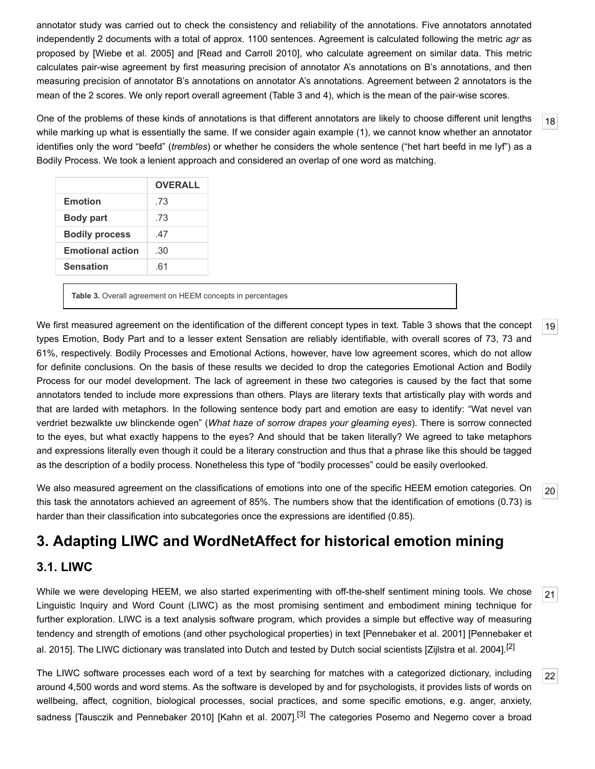annotator study was carried out to check the consistency and reliability of the annotations. Five annotators annotated independently 2 documents with a total of approx. 1100 sentences. Agreement is calculated following the metric *agr* as proposed by [\[Wiebe et al. 2005\]](#page-17-9) and [[Read and Carroll 2010\]](#page-17-10), who calculate agreement on similar data. This metric calculates pair-wise agreement by first measuring precision of annotator A's annotations on B's annotations, and then measuring precision of annotator B's annotations on annotator A's annotations. Agreement between 2 annotators is the mean of the 2 scores. We only report overall agreement (Table 3 and 4), which is the mean of the pair-wise scores.

<span id="page-4-0"></span>One of the problems of these kinds of annotations is that different annotators are likely to choose different unit lengths while marking up what is essentially the same. If we consider again example (1), we cannot know whether an annotator identifies only the word "beefd" (*trembles*) or whether he considers the whole sentence ("het hart beefd in me lyf") as a Bodily Process. We took a lenient approach and considered an overlap of one word as matching.

| <b>OVERALL</b> |
|----------------|
| .73            |
| -73            |
| 47             |
| -30            |
| -61            |
|                |

**Table 3.** Overall agreement on HEEM concepts in percentages

<span id="page-4-1"></span>We first measured agreement on the identification of the different concept types in text. Table 3 shows that the concept types Emotion, Body Part and to a lesser extent Sensation are reliably identifiable, with overall scores of 73, 73 and 61%, respectively. Bodily Processes and Emotional Actions, however, have low agreement scores, which do not allow for definite conclusions. On the basis of these results we decided to drop the categories Emotional Action and Bodily Process for our model development. The lack of agreement in these two categories is caused by the fact that some annotators tended to include more expressions than others. Plays are literary texts that artistically play with words and that are larded with metaphors. In the following sentence body part and emotion are easy to identify: "Wat nevel van verdriet bezwalkte uw blinckende ogen" (*What haze of sorrow drapes your gleaming eyes*). There is sorrow connected to the eyes, but what exactly happens to the eyes? And should that be taken literally? We agreed to take metaphors and expressions literally even though it could be a literary construction and thus that a phrase like this should be tagged as the description of a bodily process. Nonetheless this type of "bodily processes" could be easily overlooked.

<span id="page-4-2"></span>We also measured agreement on the classifications of emotions into one of the specific HEEM emotion categories. On this task the annotators achieved an agreement of 85%. The numbers show that the identification of emotions (0.73) is harder than their classification into subcategories once the expressions are identified (0.85).

# **3. Adapting LIWC and WordNetAffect for historical emotion mining**

### **3.1. LIWC**

<span id="page-4-3"></span>While we were developing HEEM, we also started experimenting with off-the-shelf sentiment mining tools. We chose Linguistic Inquiry and Word Count (LIWC) as the most promising sentiment and embodiment mining technique for further exploration. LIWC is a text analysis software program, which provides a simple but effective way of measuring tendency and strength of emotions (and other psychological properties) in text [[Pennebaker et al. 2001\]](#page-16-12) [Pennebaker et al. 2015]. The LIWC dictionary was translated into Dutch and tested by Dutch social scientists [Zijlstra et al. 2004].<sup>[2]</sup>

<span id="page-4-4"></span>The LIWC software processes each word of a text by searching for matches with a categorized dictionary, including around 4,500 words and word stems. As the software is developed by and for psychologists, it provides lists of words on wellbeing, affect, cognition, biological processes, social practices, and some specific emotions, e.g. anger, anxiety, sadness [\[Tausczik and Pennebaker 2010\]](#page-17-13) [[Kahn et al. 2007](#page-16-13)].<sup>[3]</sup> The categories Posemo and Negemo cover a broad

[18](#page-4-0)

[19](#page-4-1)

[20](#page-4-2)

[21](#page-4-3)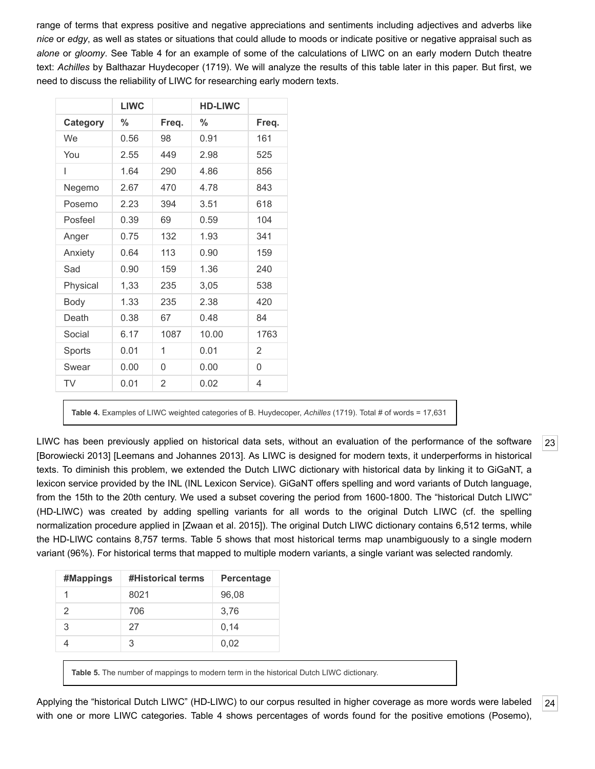range of terms that express positive and negative appreciations and sentiments including adjectives and adverbs like *nice* or *edgy*, as well as states or situations that could allude to moods or indicate positive or negative appraisal such as *alone* or *gloomy*. See Table 4 for an example of some of the calculations of LIWC on an early modern Dutch theatre text: *Achilles* by Balthazar Huydecoper (1719). We will analyze the results of this table later in this paper. But first, we need to discuss the reliability of LIWC for researching early modern texts.

|          | <b>LIWC</b> |                | <b>HD-LIWC</b> |       |
|----------|-------------|----------------|----------------|-------|
| Category | %           | Freq.          | %              | Freq. |
| We       | 0.56        | 98             | 0.91           | 161   |
| You      | 2.55        | 449            | 2.98           | 525   |
| T        | 1.64        | 290            | 4.86           | 856   |
| Negemo   | 2.67        | 470            | 4.78           | 843   |
| Posemo   | 2.23        | 394            | 3.51           | 618   |
| Posfeel  | 0.39        | 69             | 0.59           | 104   |
| Anger    | 0.75        | 132            | 1.93           | 341   |
| Anxiety  | 0.64        | 113            | 0.90           | 159   |
| Sad      | 0.90        | 159            | 1.36           | 240   |
| Physical | 1,33        | 235            | 3,05           | 538   |
| Body     | 1.33        | 235            | 2.38           | 420   |
| Death    | 0.38        | 67             | 0.48           | 84    |
| Social   | 6.17        | 1087           | 10.00          | 1763  |
| Sports   | 0.01        | 1              | 0.01           | 2     |
| Swear    | 0.00        | 0              | 0.00           | 0     |
| TV       | 0.01        | $\overline{2}$ | 0.02           | 4     |

**Table 4.** Examples of LIWC weighted categories of B. Huydecoper, *Achilles* (1719). Total # of words = 17,631

<span id="page-5-0"></span>LIWC has been previously applied on historical data sets, without an evaluation of the performance of the software [\[Borowiecki 2013](#page-16-15)] [[Leemans and Johannes 2013\]](#page-16-6). As LIWC is designed for modern texts, it underperforms in historical texts. To diminish this problem, we extended the Dutch LIWC dictionary with historical data by linking it to GiGaNT, a lexicon service provided by the INL (INL Lexicon Service). GiGaNT offers spelling and word variants of Dutch language, from the 15th to the 20th century. We used a subset covering the period from 1600-1800. The "historical Dutch LIWC" (HD-LIWC) was created by adding spelling variants for all words to the original Dutch LIWC (cf. the spelling normalization procedure applied in [[Zwaan et al. 2015](#page-17-14)]). The original Dutch LIWC dictionary contains 6,512 terms, while the HD-LIWC contains 8,757 terms. Table 5 shows that most historical terms map unambiguously to a single modern variant (96%). For historical terms that mapped to multiple modern variants, a single variant was selected randomly.

| #Mappings | <b>#Historical terms</b> | Percentage |
|-----------|--------------------------|------------|
|           | 8021                     | 96,08      |
|           | 706                      | 3,76       |
| 3         | 27                       | 0,14       |
|           | 3                        | 0,02       |

**Table 5.** The number of mappings to modern term in the historical Dutch LIWC dictionary.

<span id="page-5-1"></span>Applying the "historical Dutch LIWC" (HD-LIWC) to our corpus resulted in higher coverage as more words were labeled with one or more LIWC categories. Table 4 shows percentages of words found for the positive emotions (Posemo),

[23](#page-5-0)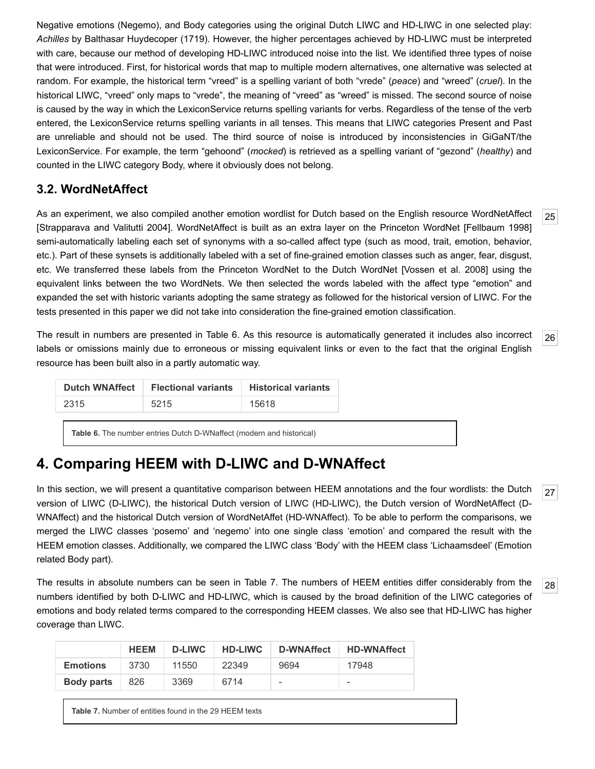Negative emotions (Negemo), and Body categories using the original Dutch LIWC and HD-LIWC in one selected play: *Achilles* by Balthasar Huydecoper (1719). However, the higher percentages achieved by HD-LIWC must be interpreted with care, because our method of developing HD-LIWC introduced noise into the list. We identified three types of noise that were introduced. First, for historical words that map to multiple modern alternatives, one alternative was selected at random. For example, the historical term "vreed" is a spelling variant of both "vrede" (*peace*) and "wreed" (*cruel*). In the historical LIWC, "vreed" only maps to "vrede", the meaning of "vreed" as "wreed" is missed. The second source of noise is caused by the way in which the LexiconService returns spelling variants for verbs. Regardless of the tense of the verb entered, the LexiconService returns spelling variants in all tenses. This means that LIWC categories Present and Past are unreliable and should not be used. The third source of noise is introduced by inconsistencies in GiGaNT/the LexiconService. For example, the term "gehoond" (*mocked*) is retrieved as a spelling variant of "gezond" (*healthy*) and counted in the LIWC category Body, where it obviously does not belong.

### **3.2. WordNetAffect**

<span id="page-6-0"></span>As an experiment, we also compiled another emotion wordlist for Dutch based on the English resource WordNetAffect [\[Strapparava and Valitutti 2004\]](#page-17-7). WordNetAffect is built as an extra layer on the Princeton WordNet [[Fellbaum 1998\]](#page-16-16) semi-automatically labeling each set of synonyms with a so-called affect type (such as mood, trait, emotion, behavior, etc.). Part of these synsets is additionally labeled with a set of fine-grained emotion classes such as anger, fear, disgust, etc. We transferred these labels from the Princeton WordNet to the Dutch WordNet [[Vossen et al. 2008\]](#page-17-15) using the equivalent links between the two WordNets. We then selected the words labeled with the affect type "emotion" and expanded the set with historic variants adopting the same strategy as followed for the historical version of LIWC. For the tests presented in this paper we did not take into consideration the fine-grained emotion classification.

<span id="page-6-1"></span>[26](#page-6-1) The result in numbers are presented in Table 6. As this resource is automatically generated it includes also incorrect labels or omissions mainly due to erroneous or missing equivalent links or even to the fact that the original English resource has been built also in a partly automatic way.

| <b>Dutch WNAffect</b> | <b>Flectional variants</b> | <b>Historical variants</b> |
|-----------------------|----------------------------|----------------------------|
| 2315                  | 5215                       | 15618                      |

**Table 6.** The number entries Dutch D-WNaffect (modern and historical)

# **4. Comparing HEEM with D-LIWC and D-WNAffect**

<span id="page-6-2"></span>In this section, we will present a quantitative comparison between HEEM annotations and the four wordlists: the Dutch version of LIWC (D-LIWC), the historical Dutch version of LIWC (HD-LIWC), the Dutch version of WordNetAffect (D-WNAffect) and the historical Dutch version of WordNetAffet (HD-WNAffect). To be able to perform the comparisons, we merged the LIWC classes 'posemo' and 'negemo' into one single class 'emotion' and compared the result with the HEEM emotion classes. Additionally, we compared the LIWC class 'Body' with the HEEM class 'Lichaamsdeel' (Emotion related Body part).

<span id="page-6-3"></span>The results in absolute numbers can be seen in Table 7. The numbers of HEEM entities differ considerably from the numbers identified by both D-LIWC and HD-LIWC, which is caused by the broad definition of the LIWC categories of emotions and body related terms compared to the corresponding HEEM classes. We also see that HD-LIWC has higher coverage than LIWC.

|                   | <b>HEEM</b> | <b>D-LIWC</b> | <b>HD-LIWC</b> | D-WNAffect               | <b>HD-WNAffect</b>       |
|-------------------|-------------|---------------|----------------|--------------------------|--------------------------|
| <b>Emotions</b>   | 3730        | 11550         | 22349          | 9694                     | 17948                    |
| <b>Body parts</b> | 826         | 3369          | 6714           | $\overline{\phantom{0}}$ | $\overline{\phantom{a}}$ |

**Table 7.** Number of entities found in the 29 HEEM texts

[25](#page-6-0)

[27](#page-6-2)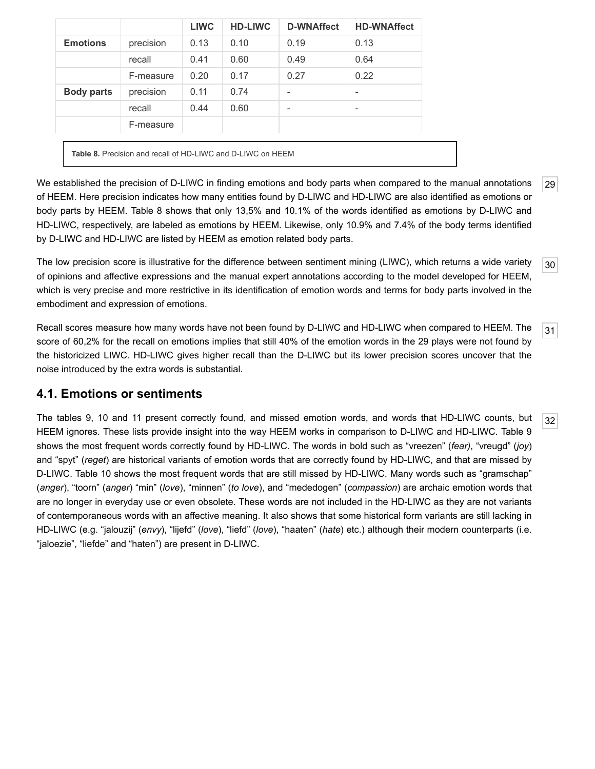|                   |           | <b>LIWC</b> | <b>HD-LIWC</b> | <b>D-WNAffect</b> | <b>HD-WNAffect</b>       |
|-------------------|-----------|-------------|----------------|-------------------|--------------------------|
| <b>Emotions</b>   | precision | 0.13        | 0.10           | 0.19              | 0.13                     |
|                   | recall    | 0.41        | 0.60           | 0.49              | 0.64                     |
|                   | F-measure | 0.20        | 0.17           | 0.27              | 0.22                     |
| <b>Body parts</b> | precision | 0.11        | 0.74           |                   | -                        |
|                   | recall    | 0.44        | 0.60           |                   | $\overline{\phantom{0}}$ |
|                   | F-measure |             |                |                   |                          |
|                   |           |             |                |                   |                          |

**Table 8.** Precision and recall of HD-LIWC and D-LIWC on HEEM

<span id="page-7-1"></span>[29](#page-7-1) We established the precision of D-LIWC in finding emotions and body parts when compared to the manual annotations of HEEM. Here precision indicates how many entities found by D-LIWC and HD-LIWC are also identified as emotions or body parts by HEEM. Table 8 shows that only 13,5% and 10.1% of the words identified as emotions by D-LIWC and HD-LIWC, respectively, are labeled as emotions by HEEM. Likewise, only 10.9% and 7.4% of the body terms identified by D-LIWC and HD-LIWC are listed by HEEM as emotion related body parts.

<span id="page-7-2"></span>[30](#page-7-2) The low precision score is illustrative for the difference between sentiment mining (LIWC), which returns a wide variety of opinions and affective expressions and the manual expert annotations according to the model developed for HEEM, which is very precise and more restrictive in its identification of emotion words and terms for body parts involved in the embodiment and expression of emotions.

<span id="page-7-3"></span>[31](#page-7-3) Recall scores measure how many words have not been found by D-LIWC and HD-LIWC when compared to HEEM. The score of 60,2% for the recall on emotions implies that still 40% of the emotion words in the 29 plays were not found by the historicized LIWC. HD-LIWC gives higher recall than the D-LIWC but its lower precision scores uncover that the noise introduced by the extra words is substantial.

[32](#page-7-0)

### **4.1. Emotions or sentiments**

<span id="page-7-0"></span>The tables 9, 10 and 11 present correctly found, and missed emotion words, and words that HD-LIWC counts, but HEEM ignores. These lists provide insight into the way HEEM works in comparison to D-LIWC and HD-LIWC. Table 9 shows the most frequent words correctly found by HD-LIWC. The words in bold such as "vreezen" (*fear)*, "vreugd" (*joy*) and "spyt" (*reget*) are historical variants of emotion words that are correctly found by HD-LIWC, and that are missed by D-LIWC. Table 10 shows the most frequent words that are still missed by HD-LIWC. Many words such as "gramschap" (*anger*), "toorn" (*anger*) "min" (*love*), "minnen" (*to love*), and "mededogen" (*compassion*) are archaic emotion words that are no longer in everyday use or even obsolete. These words are not included in the HD-LIWC as they are not variants of contemporaneous words with an affective meaning. It also shows that some historical form variants are still lacking in HD-LIWC (e.g. "jalouzij" (*envy*), "lijefd" (*love*), "liefd" (*love*), "haaten" (*hate*) etc.) although their modern counterparts (i.e. "jaloezie", "liefde" and "haten") are present in D-LIWC.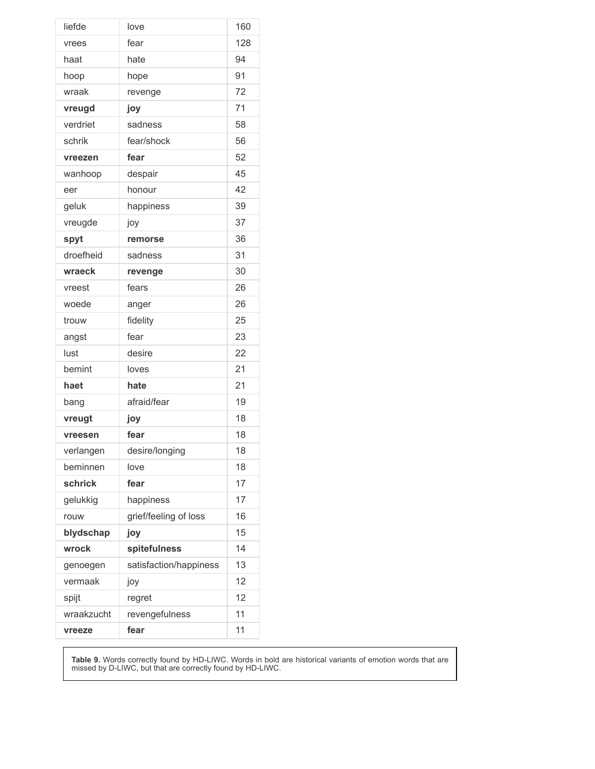| liefde     | love                   | 160 |
|------------|------------------------|-----|
| vrees      | fear                   | 128 |
| haat       | hate                   | 94  |
| hoop       | hope                   | 91  |
| wraak      | revenge                | 72  |
| vreugd     | joy                    | 71  |
| verdriet   | sadness                | 58  |
| schrik     | fear/shock             | 56  |
| vreezen    | fear                   | 52  |
| wanhoop    | despair                | 45  |
| eer        | honour                 | 42  |
| geluk      | happiness              | 39  |
| vreugde    | joy                    | 37  |
| spyt       | remorse                | 36  |
| droefheid  | sadness                | 31  |
| wraeck     | revenge                | 30  |
| vreest     | fears                  | 26  |
| woede      | anger                  | 26  |
| trouw      | fidelity               | 25  |
| angst      | fear                   | 23  |
| lust       | desire                 | 22  |
| bemint     | loves                  | 21  |
| haet       | hate                   | 21  |
| bang       | afraid/fear            | 19  |
| vreugt     | joy                    | 18  |
| vreesen    | fear                   | 18  |
| verlangen  | desire/longing         | 18  |
| beminnen   | love                   | 18  |
| schrick    | fear                   | 17  |
| gelukkig   | happiness              | 17  |
| rouw       | grief/feeling of loss  | 16  |
| blydschap  | joy                    | 15  |
| wrock      | spitefulness           | 14  |
| genoegen   | satisfaction/happiness | 13  |
| vermaak    | joy                    | 12  |
| spijt      | regret                 | 12  |
| wraakzucht | revengefulness         | 11  |
| vreeze     | fear                   | 11  |

**Table 9.** Words correctly found by HD-LIWC. Words in bold are historical variants of emotion words that are missed by D-LIWC, but that are correctly found by HD-LIWC.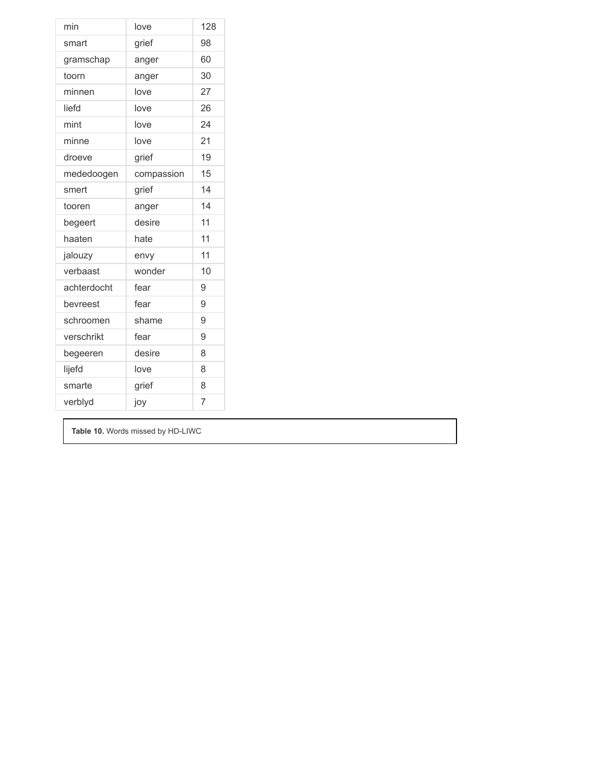| min         | love       | 128 |
|-------------|------------|-----|
| smart       | grief      | 98  |
| gramschap   | anger      | 60  |
| toorn       | anger      | 30  |
| minnen      | love       | 27  |
| liefd       | love       | 26  |
| mint        | love       | 24  |
| minne       | love       | 21  |
| droeve      | grief      | 19  |
| mededoogen  | compassion | 15  |
| smert       | grief      | 14  |
| tooren      | anger      | 14  |
| begeert     | desire     | 11  |
| haaten      | hate       | 11  |
| jalouzy     | envy       | 11  |
| verbaast    | wonder     | 10  |
| achterdocht | fear       | 9   |
| bevreest    | fear       | 9   |
| schroomen   | shame      | 9   |
| verschrikt  | fear       | 9   |
| begeeren    | desire     | 8   |
| lijefd      | love       | 8   |
| smarte      | grief      | 8   |
| verblyd     | joy        | 7   |

**Table 10.** Words missed by HD-LIWC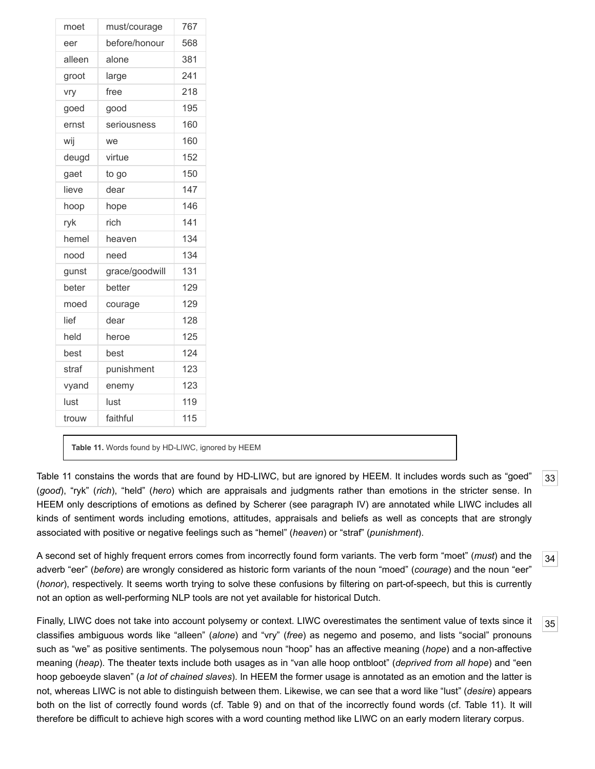| moet   | must/courage   | 767 |
|--------|----------------|-----|
| eer    | before/honour  | 568 |
| alleen | alone          | 381 |
| groot  | large          | 241 |
| vry    | free           | 218 |
| goed   | good           | 195 |
| ernst  | seriousness    | 160 |
| wij    | we             | 160 |
| deugd  | virtue         | 152 |
| gaet   | to go          | 150 |
| lieve  | dear           | 147 |
| hoop   | hope           | 146 |
| ryk    | rich           | 141 |
| hemel  | heaven         | 134 |
| nood   | need           | 134 |
| gunst  | grace/goodwill | 131 |
| beter  | better         | 129 |
| moed   | courage        | 129 |
| lief   | dear           | 128 |
| held   | heroe          | 125 |
| best   | best           | 124 |
| straf  | punishment     | 123 |
| vyand  | enemy          | 123 |
| lust   | lust           | 119 |
| trouw  | faithful       | 115 |

**Table 11.** Words found by HD-LIWC, ignored by HEEM

<span id="page-10-0"></span>Table 11 constains the words that are found by HD-LIWC, but are ignored by HEEM. It includes words such as "goed" (*good*), "ryk" (*rich*), "held" (*hero*) which are appraisals and judgments rather than emotions in the stricter sense. In HEEM only descriptions of emotions as defined by Scherer (see paragraph IV) are annotated while LIWC includes all kinds of sentiment words including emotions, attitudes, appraisals and beliefs as well as concepts that are strongly associated with positive or negative feelings such as "hemel" (*heaven*) or "straf" (*punishment*).

<span id="page-10-1"></span>A second set of highly frequent errors comes from incorrectly found form variants. The verb form "moet" (*must*) and the adverb "eer" (*before*) are wrongly considered as historic form variants of the noun "moed" (*courage*) and the noun "eer" (*honor*), respectively. It seems worth trying to solve these confusions by filtering on part-of-speech, but this is currently not an option as well-performing NLP tools are not yet available for historical Dutch.

<span id="page-10-2"></span>Finally, LIWC does not take into account polysemy or context. LIWC overestimates the sentiment value of texts since it classifies ambiguous words like "alleen" (*alone*) and "vry" (*free*) as negemo and posemo, and lists "social" pronouns such as "we" as positive sentiments. The polysemous noun "hoop" has an affective meaning (*hope*) and a non-affective meaning (*heap*). The theater texts include both usages as in "van alle hoop ontbloot" (*deprived from all hope*) and "een hoop geboeyde slaven" (*a lot of chained slaves*). In HEEM the former usage is annotated as an emotion and the latter is not, whereas LIWC is not able to distinguish between them. Likewise, we can see that a word like "lust" (*desire*) appears both on the list of correctly found words (cf. Table 9) and on that of the incorrectly found words (cf. Table 11). It will therefore be difficult to achieve high scores with a word counting method like LIWC on an early modern literary corpus.

[33](#page-10-0)

[34](#page-10-1)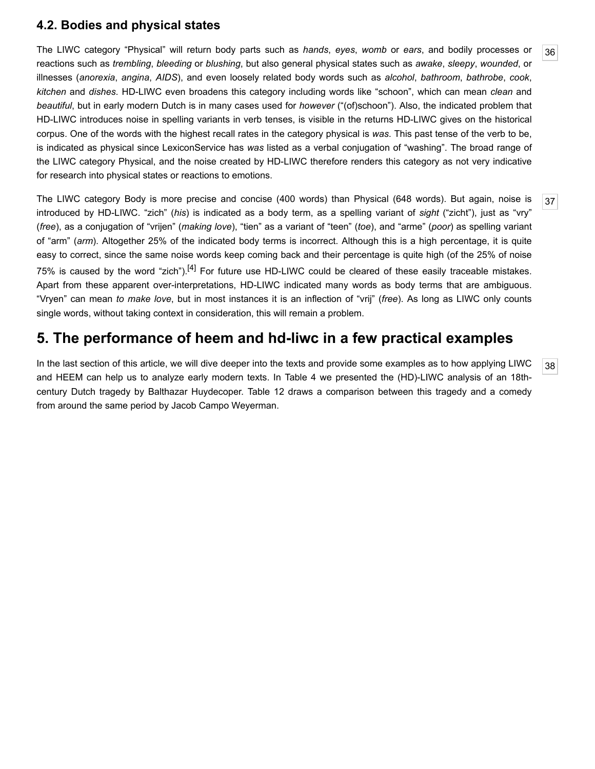## **4.2. Bodies and physical states**

<span id="page-11-0"></span>The LIWC category "Physical" will return body parts such as *hands*, *eyes*, *womb* or *ears*, and bodily processes or reactions such as *trembling*, *bleeding* or *blushing*, but also general physical states such as *awake*, *sleepy*, *wounded*, or illnesses (*anorexia*, *angina*, *AIDS*), and even loosely related body words such as *alcohol*, *bathroom*, *bathrobe*, *cook*, *kitchen* and *dishes*. HD-LIWC even broadens this category including words like "schoon", which can mean *clean* and *beautiful*, but in early modern Dutch is in many cases used for *however* ("(of)schoon"). Also, the indicated problem that HD-LIWC introduces noise in spelling variants in verb tenses, is visible in the returns HD-LIWC gives on the historical corpus. One of the words with the highest recall rates in the category physical is *was*. This past tense of the verb to be, is indicated as physical since LexiconService has *was* listed as a verbal conjugation of "washing". The broad range of the LIWC category Physical, and the noise created by HD-LIWC therefore renders this category as not very indicative for research into physical states or reactions to emotions.

<span id="page-11-1"></span>The LIWC category Body is more precise and concise (400 words) than Physical (648 words). But again, noise is introduced by HD-LIWC. "zich" (*his*) is indicated as a body term, as a spelling variant of *sight* ("zicht"), just as "vry" (*free*), as a conjugation of "vrijen" (*making love*), "tien" as a variant of "teen" (*toe*), and "arme" (*poor*) as spelling variant of "arm" (*arm*). Altogether 25% of the indicated body terms is incorrect. Although this is a high percentage, it is quite easy to correct, since the same noise words keep coming back and their percentage is quite high (of the 25% of noise 75% is caused by the word "zich").<sup>[4]</sup> For future use HD-LIWC could be cleared of these easily traceable mistakes. Apart from these apparent over-interpretations, HD-LIWC indicated many words as body terms that are ambiguous. "Vryen" can mean *to make love*, but in most instances it is an inflection of "vrij" (*free*). As long as LIWC only counts single words, without taking context in consideration, this will remain a problem.

## **5. The performance of heem and hd-liwc in a few practical examples**

<span id="page-11-2"></span>In the last section of this article, we will dive deeper into the texts and provide some examples as to how applying LIWC and HEEM can help us to analyze early modern texts. In Table 4 we presented the (HD)-LIWC analysis of an 18thcentury Dutch tragedy by Balthazar Huydecoper. Table 12 draws a comparison between this tragedy and a comedy from around the same period by Jacob Campo Weyerman.

[36](#page-11-0)

[37](#page-11-1)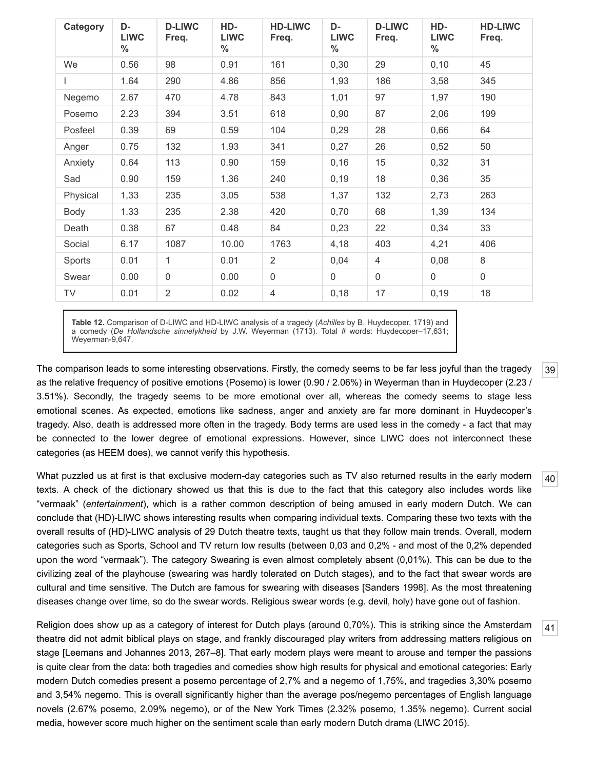| Category  | D-<br><b>LIWC</b><br>$\frac{0}{0}$ | <b>D-LIWC</b><br>Freq. | HD-<br><b>LIWC</b><br>% | <b>HD-LIWC</b><br>Freq. | D-<br><b>LIWC</b><br>$\frac{0}{0}$ | <b>D-LIWC</b><br>Freq. | HD-<br><b>LIWC</b><br>% | <b>HD-LIWC</b><br>Freq. |
|-----------|------------------------------------|------------------------|-------------------------|-------------------------|------------------------------------|------------------------|-------------------------|-------------------------|
| <b>We</b> | 0.56                               | 98                     | 0.91                    | 161                     | 0,30                               | 29                     | 0, 10                   | 45                      |
|           | 1.64                               | 290                    | 4.86                    | 856                     | 1,93                               | 186                    | 3,58                    | 345                     |
| Negemo    | 2.67                               | 470                    | 4.78                    | 843                     | 1,01                               | 97                     | 1,97                    | 190                     |
| Posemo    | 2.23                               | 394                    | 3.51                    | 618                     | 0,90                               | 87                     | 2,06                    | 199                     |
| Posfeel   | 0.39                               | 69                     | 0.59                    | 104                     | 0,29                               | 28                     | 0,66                    | 64                      |
| Anger     | 0.75                               | 132                    | 1.93                    | 341                     | 0,27                               | 26                     | 0,52                    | 50                      |
| Anxiety   | 0.64                               | 113                    | 0.90                    | 159                     | 0,16                               | 15                     | 0,32                    | 31                      |
| Sad       | 0.90                               | 159                    | 1.36                    | 240                     | 0,19                               | 18                     | 0,36                    | 35                      |
| Physical  | 1,33                               | 235                    | 3,05                    | 538                     | 1,37                               | 132                    | 2,73                    | 263                     |
| Body      | 1.33                               | 235                    | 2.38                    | 420                     | 0,70                               | 68                     | 1,39                    | 134                     |
| Death     | 0.38                               | 67                     | 0.48                    | 84                      | 0,23                               | 22                     | 0,34                    | 33                      |
| Social    | 6.17                               | 1087                   | 10.00                   | 1763                    | 4,18                               | 403                    | 4,21                    | 406                     |
| Sports    | 0.01                               | 1                      | 0.01                    | $\overline{2}$          | 0,04                               | $\overline{4}$         | 0,08                    | 8                       |
| Swear     | 0.00                               | $\Omega$               | 0.00                    | $\boldsymbol{0}$        | 0                                  | 0                      | $\mathbf 0$             | 0                       |
| TV        | 0.01                               | $\overline{2}$         | 0.02                    | $\overline{4}$          | 0,18                               | 17                     | 0,19                    | 18                      |

**Table 12.** Comparison of D-LIWC and HD-LIWC analysis of a tragedy (*Achilles* by B. Huydecoper, 1719) and a comedy (*De Hollandsche sinnelykheid* by J.W. Weyerman (1713). Total # words: Huydecoper–17,631; Weyerman-9,647.

<span id="page-12-0"></span>The comparison leads to some interesting observations. Firstly, the comedy seems to be far less joyful than the tragedy as the relative frequency of positive emotions (Posemo) is lower (0.90 / 2.06%) in Weyerman than in Huydecoper (2.23 / 3.51%). Secondly, the tragedy seems to be more emotional over all, whereas the comedy seems to stage less emotional scenes. As expected, emotions like sadness, anger and anxiety are far more dominant in Huydecoper's tragedy. Also, death is addressed more often in the tragedy. Body terms are used less in the comedy - a fact that may be connected to the lower degree of emotional expressions. However, since LIWC does not interconnect these categories (as HEEM does), we cannot verify this hypothesis.

<span id="page-12-1"></span>What puzzled us at first is that exclusive modern-day categories such as TV also returned results in the early modern texts. A check of the dictionary showed us that this is due to the fact that this category also includes words like "vermaak" (*entertainment*), which is a rather common description of being amused in early modern Dutch. We can conclude that (HD)-LIWC shows interesting results when comparing individual texts. Comparing these two texts with the overall results of (HD)-LIWC analysis of 29 Dutch theatre texts, taught us that they follow main trends. Overall, modern categories such as Sports, School and TV return low results (between 0,03 and 0,2% - and most of the 0,2% depended upon the word "vermaak"). The category Swearing is even almost completely absent (0,01%). This can be due to the civilizing zeal of the playhouse (swearing was hardly tolerated on Dutch stages), and to the fact that swear words are cultural and time sensitive. The Dutch are famous for swearing with diseases [[Sanders 1998\]](#page-17-16). As the most threatening diseases change over time, so do the swear words. Religious swear words (e.g. devil, holy) have gone out of fashion.

<span id="page-12-2"></span>Religion does show up as a category of interest for Dutch plays (around 0,70%). This is striking since the Amsterdam theatre did not admit biblical plays on stage, and frankly discouraged play writers from addressing matters religious on stage [\[Leemans and Johannes 2013,](#page-16-6) 267–8]. That early modern plays were meant to arouse and temper the passions is quite clear from the data: both tragedies and comedies show high results for physical and emotional categories: Early modern Dutch comedies present a posemo percentage of 2,7% and a negemo of 1,75%, and tragedies 3,30% posemo and 3,54% negemo. This is overall significantly higher than the average pos/negemo percentages of English language novels (2.67% posemo, 2.09% negemo), or of the New York Times (2.32% posemo, 1.35% negemo). Current social media, however score much higher on the sentiment scale than early modern Dutch drama (LIWC 2015).

[39](#page-12-0)

[40](#page-12-1)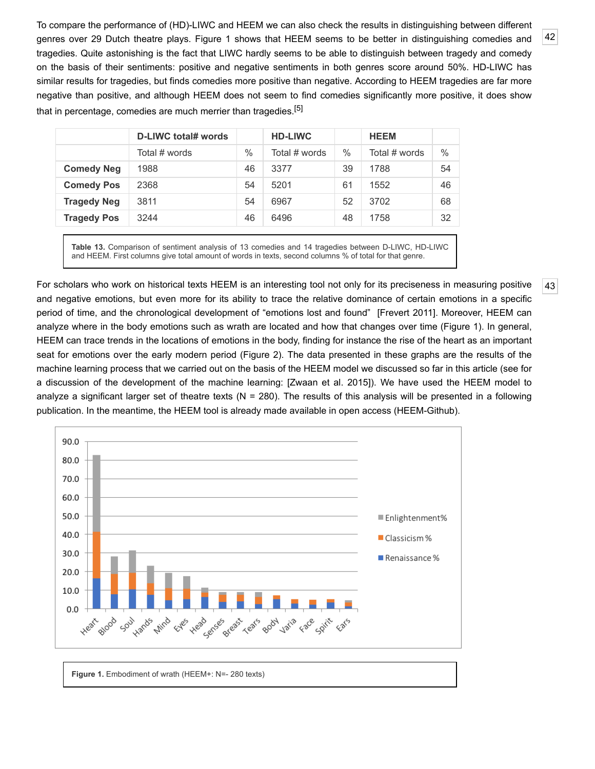<span id="page-13-0"></span>To compare the performance of (HD)-LIWC and HEEM we can also check the results in distinguishing between different genres over 29 Dutch theatre plays. Figure 1 shows that HEEM seems to be better in distinguishing comedies and tragedies. Quite astonishing is the fact that LIWC hardly seems to be able to distinguish between tragedy and comedy on the basis of their sentiments: positive and negative sentiments in both genres score around 50%. HD-LIWC has similar results for tragedies, but finds comedies more positive than negative. According to HEEM tragedies are far more negative than positive, and although HEEM does not seem to find comedies significantly more positive, it does show that in percentage, comedies are much merrier than tragedies.<sup>[\[5\]](#page-16-18)</sup>

|                    | D-LIWC total# words |               | <b>HD-LIWC</b> |               | <b>HEEM</b>   |               |
|--------------------|---------------------|---------------|----------------|---------------|---------------|---------------|
|                    | Total # words       | $\frac{0}{0}$ | Total # words  | $\frac{0}{0}$ | Total # words | $\frac{0}{0}$ |
| <b>Comedy Neg</b>  | 1988                | 46            | 3377           | 39            | 1788          | 54            |
| <b>Comedy Pos</b>  | 2368                | 54            | 5201           | 61            | 1552          | 46            |
| <b>Tragedy Neg</b> | 3811                | 54            | 6967           | 52            | 3702          | 68            |
| <b>Tragedy Pos</b> | 3244                | 46            | 6496           | 48            | 1758          | 32            |

**Table 13.** Comparison of sentiment analysis of 13 comedies and 14 tragedies between D-LIWC, HD-LIWC and HEEM. First columns give total amount of words in texts, second columns % of total for that genre.

<span id="page-13-1"></span>For scholars who work on historical texts HEEM is an interesting tool not only for its preciseness in measuring positive and negative emotions, but even more for its ability to trace the relative dominance of certain emotions in a specific period of time, and the chronological development of "emotions lost and found" [\[Frevert 2011\]](#page-16-19). Moreover, HEEM can analyze where in the body emotions such as wrath are located and how that changes over time (Figure 1). In general, HEEM can trace trends in the locations of emotions in the body, finding for instance the rise of the heart as an important seat for emotions over the early modern period (Figure 2). The data presented in these graphs are the results of the machine learning process that we carried out on the basis of the HEEM model we discussed so far in this article (see for a discussion of the development of the machine learning: [\[Zwaan et al. 2015](#page-17-14)]). We have used the HEEM model to analyze a significant larger set of theatre texts ( $N = 280$ ). The results of this analysis will be presented in a following publication. In the meantime, the HEEM tool is already made available in open access (HEEM-Github).



[42](#page-13-0)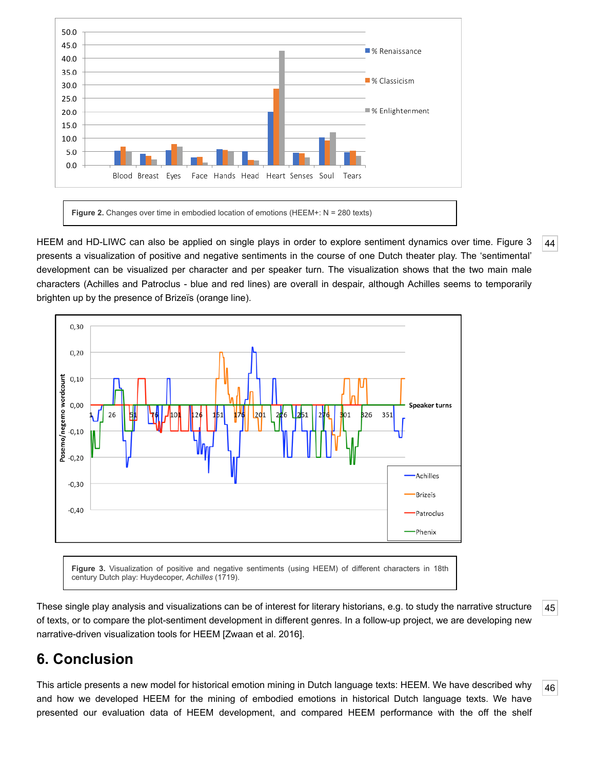

<span id="page-14-0"></span>HEEM and HD-LIWC can also be applied on single plays in order to explore sentiment dynamics over time. Figure 3 presents a visualization of positive and negative sentiments in the course of one Dutch theater play. The 'sentimental' development can be visualized per character and per speaker turn. The visualization shows that the two main male characters (Achilles and Patroclus - blue and red lines) are overall in despair, although Achilles seems to temporarily brighten up by the presence of Brizeïs (orange line).



**Figure 3.** Visualization of positive and negative sentiments (using HEEM) of different characters in 18th century Dutch play: Huydecoper, *Achilles* (1719).

<span id="page-14-1"></span>These single play analysis and visualizations can be of interest for literary historians, e.g. to study the narrative structure of texts, or to compare the plot-sentiment development in different genres. In a follow-up project, we are developing new narrative-driven visualization tools for HEEM [[Zwaan et al. 2016](#page-17-17)].

## **6. Conclusion**

<span id="page-14-2"></span>This article presents a new model for historical emotion mining in Dutch language texts: HEEM. We have described why and how we developed HEEM for the mining of embodied emotions in historical Dutch language texts. We have presented our evaluation data of HEEM development, and compared HEEM performance with the off the shelf

[44](#page-14-0)

[45](#page-14-1)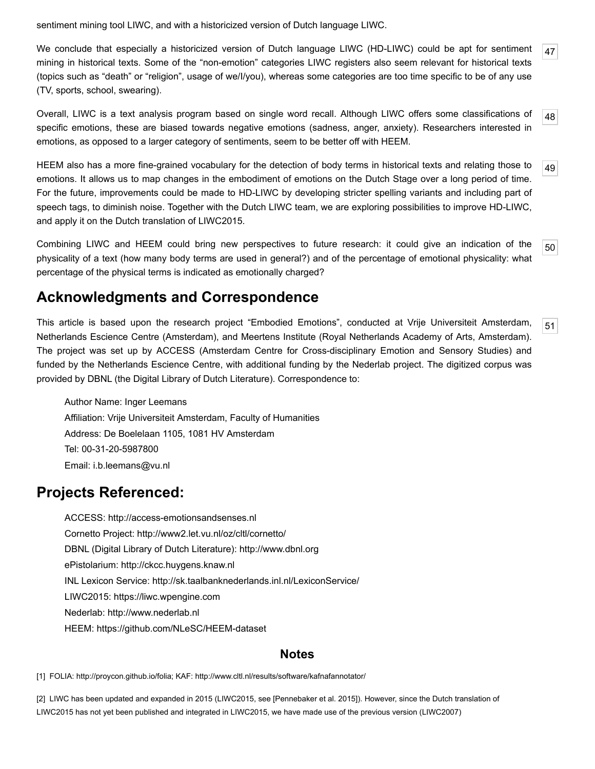sentiment mining tool LIWC, and with a historicized version of Dutch language LIWC.

<span id="page-15-2"></span>We conclude that especially a historicized version of Dutch language LIWC (HD-LIWC) could be apt for sentiment mining in historical texts. Some of the "non-emotion" categories LIWC registers also seem relevant for historical texts (topics such as "death" or "religion", usage of we/I/you), whereas some categories are too time specific to be of any use (TV, sports, school, swearing).

[47](#page-15-2)

<span id="page-15-3"></span>[48](#page-15-3) Overall, LIWC is a text analysis program based on single word recall. Although LIWC offers some classifications of specific emotions, these are biased towards negative emotions (sadness, anger, anxiety). Researchers interested in emotions, as opposed to a larger category of sentiments, seem to be better off with HEEM.

<span id="page-15-4"></span>[49](#page-15-4) HEEM also has a more fine-grained vocabulary for the detection of body terms in historical texts and relating those to emotions. It allows us to map changes in the embodiment of emotions on the Dutch Stage over a long period of time. For the future, improvements could be made to HD-LIWC by developing stricter spelling variants and including part of speech tags, to diminish noise. Together with the Dutch LIWC team, we are exploring possibilities to improve HD-LIWC, and apply it on the Dutch translation of LIWC2015.

<span id="page-15-5"></span>[50](#page-15-5) Combining LIWC and HEEM could bring new perspectives to future research: it could give an indication of the physicality of a text (how many body terms are used in general?) and of the percentage of emotional physicality: what percentage of the physical terms is indicated as emotionally charged?

## **Acknowledgments and Correspondence**

<span id="page-15-6"></span>[51](#page-15-6) This article is based upon the research project "Embodied Emotions", conducted at Vrije Universiteit Amsterdam, Netherlands Escience Centre (Amsterdam), and Meertens Institute (Royal Netherlands Academy of Arts, Amsterdam). The project was set up by ACCESS (Amsterdam Centre for Cross-disciplinary Emotion and Sensory Studies) and funded by the Netherlands Escience Centre, with additional funding by the Nederlab project. The digitized corpus was provided by DBNL (the Digital Library of Dutch Literature). Correspondence to:

Author Name: Inger Leemans Affiliation: Vrije Universiteit Amsterdam, Faculty of Humanities Address: De Boelelaan 1105, 1081 HV Amsterdam Tel: 00-31-20-5987800 Email: i.b.leemans@vu.nl

## **Projects Referenced:**

ACCESS: [http://access-emotionsandsenses.nl](http://access-emotionsandsenses.nl/) Cornetto Project:<http://www2.let.vu.nl/oz/cltl/cornetto/> DBNL (Digital Library of Dutch Literature): [http://www.dbnl.org](http://www.dbnl.org/) ePistolarium: [http://ckcc.huygens.knaw.nl](http://ckcc.huygens.knaw.nl/) INL Lexicon Service: <http://sk.taalbanknederlands.inl.nl/LexiconService/> LIWC2015: [https://liwc.wpengine.com](https://liwc.wpengine.com/) Nederlab: [http://www.nederlab.nl](http://www.nederlab.nl/) HEEM: <https://github.com/NLeSC/HEEM-dataset>

### **Notes**

<span id="page-15-0"></span>[1] FOLIA: <http://proycon.github.io/folia>; KAF: <http://www.cltl.nl/results/software/kafnafannotator/>

<span id="page-15-1"></span>[2] LIWC has been updated and expanded in 2015 (LIWC2015, see [\[Pennebaker et al. 2015\]](#page-17-11)). However, since the Dutch translation of LIWC2015 has not yet been published and integrated in LIWC2015, we have made use of the previous version (LIWC2007)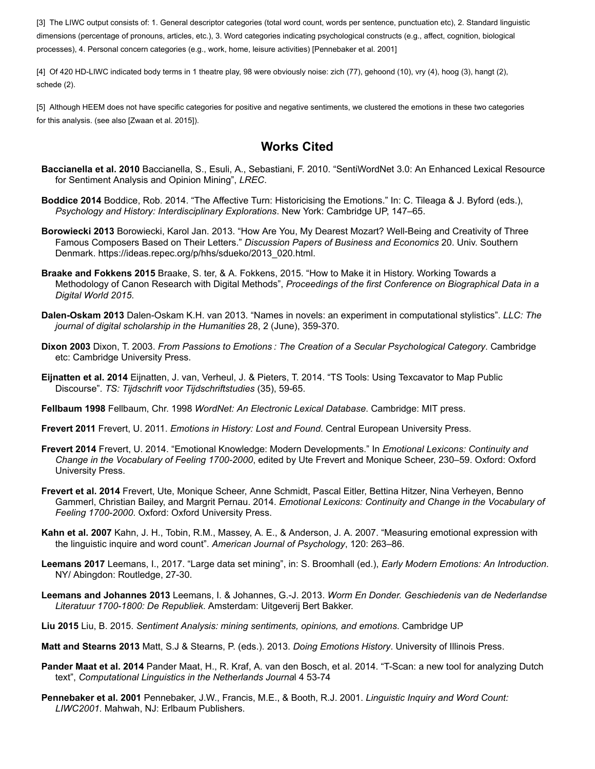<span id="page-16-14"></span>[3] The LIWC output consists of: 1. General descriptor categories (total word count, words per sentence, punctuation etc), 2. Standard linguistic dimensions (percentage of pronouns, articles, etc.), 3. Word categories indicating psychological constructs (e.g., affect, cognition, biological processes), 4. Personal concern categories (e.g., work, home, leisure activities) [[Pennebaker et al. 2001](#page-16-12)]

<span id="page-16-17"></span>[4] Of 420 HD-LIWC indicated body terms in 1 theatre play, 98 were obviously noise: zich (77), gehoond (10), vry (4), hoog (3), hangt (2), schede (2).

<span id="page-16-18"></span>[5] Although HEEM does not have specific categories for positive and negative sentiments, we clustered the emotions in these two categories for this analysis. (see also [\[Zwaan et al. 2015\]](#page-17-14)).

#### **Works Cited**

- <span id="page-16-0"></span>**Baccianella et al. 2010** Baccianella, S., Esuli, A., Sebastiani, F. 2010. "SentiWordNet 3.0: An Enhanced Lexical Resource for Sentiment Analysis and Opinion Mining", *LREC*.
- <span id="page-16-3"></span>**Boddice 2014** Boddice, Rob. 2014. "The Affective Turn: Historicising the Emotions." In: C. Tileaga & J. Byford (eds.), *Psychology and History: Interdisciplinary Explorations*. New York: Cambridge UP, 147–65.
- <span id="page-16-15"></span>**Borowiecki 2013** Borowiecki, Karol Jan. 2013. "How Are You, My Dearest Mozart? Well-Being and Creativity of Three Famous Composers Based on Their Letters." *Discussion Papers of Business and Economics* 20. Univ. Southern Denmark. [https://ideas.repec.org/p/hhs/sdueko/2013\\_020.html](https://ideas.repec.org/p/hhs/sdueko/2013_020.html).
- <span id="page-16-11"></span>**Braake and Fokkens 2015** Braake, S. ter, & A. Fokkens, 2015. "How to Make it in History. Working Towards a Methodology of Canon Research with Digital Methods", *Proceedings of the first Conference on Biographical Data in a Digital World 2015*.
- <span id="page-16-10"></span>**Dalen-Oskam 2013** Dalen-Oskam K.H. van 2013. "Names in novels: an experiment in computational stylistics". *LLC: The journal of digital scholarship in the Humanities* 28, 2 (June), 359-370.
- <span id="page-16-7"></span>**Dixon 2003** Dixon, T. 2003. *From Passions to Emotions : The Creation of a Secular Psychological Category*. Cambridge etc: Cambridge University Press.
- <span id="page-16-8"></span>**Eijnatten et al. 2014** Eijnatten, J. van, Verheul, J. & Pieters, T. 2014. "TS Tools: Using Texcavator to Map Public Discourse". *TS: Tijdschrift voor Tijdschriftstudies* (35), 59-65.

<span id="page-16-16"></span>**Fellbaum 1998** Fellbaum, Chr. 1998 *WordNet: An Electronic Lexical Database*. Cambridge: MIT press.

- <span id="page-16-19"></span>**Frevert 2011** Frevert, U. 2011. *Emotions in History: Lost and Found*. Central European University Press.
- <span id="page-16-2"></span>**Frevert 2014** Frevert, U. 2014. "Emotional Knowledge: Modern Developments." In *Emotional Lexicons: Continuity and Change in the Vocabulary of Feeling 1700-2000*, edited by Ute Frevert and Monique Scheer, 230–59. Oxford: Oxford University Press.
- **Frevert et al. 2014** Frevert, Ute, Monique Scheer, Anne Schmidt, Pascal Eitler, Bettina Hitzer, Nina Verheyen, Benno Gammerl, Christian Bailey, and Margrit Pernau. 2014. *Emotional Lexicons: Continuity and Change in the Vocabulary of Feeling 1700-2000*. Oxford: Oxford University Press.
- <span id="page-16-13"></span>**Kahn et al. 2007** Kahn, J. H., Tobin, R.M., Massey, A. E., & Anderson, J. A. 2007. "Measuring emotional expression with the linguistic inquire and word count". *American Journal of Psychology*, 120: 263–86.
- <span id="page-16-5"></span>**Leemans 2017** Leemans, I., 2017. "Large data set mining", in: S. Broomhall (ed.), *Early Modern Emotions: An Introduction*. NY/ Abingdon: Routledge, 27-30.
- <span id="page-16-6"></span>**Leemans and Johannes 2013** Leemans, I. & Johannes, G.-J. 2013. *Worm En Donder. Geschiedenis van de Nederlandse Literatuur 1700-1800: De Republiek*. Amsterdam: Uitgeverij Bert Bakker.
- <span id="page-16-1"></span>**Liu 2015** Liu, B. 2015. *Sentiment Analysis: mining sentiments, opinions, and emotions*. Cambridge UP
- <span id="page-16-4"></span>**Matt and Stearns 2013** Matt, S.J & Stearns, P. (eds.). 2013. *Doing Emotions History*. University of Illinois Press.
- <span id="page-16-9"></span>**Pander Maat et al. 2014** Pander Maat, H., R. Kraf, A. van den Bosch, et al. 2014. "T-Scan: a new tool for analyzing Dutch text", *Computational Linguistics in the Netherlands Journa*l 4 53-74
- <span id="page-16-12"></span>**Pennebaker et al. 2001** Pennebaker, J.W., Francis, M.E., & Booth, R.J. 2001. *Linguistic Inquiry and Word Count: LIWC2001*. Mahwah, NJ: Erlbaum Publishers.